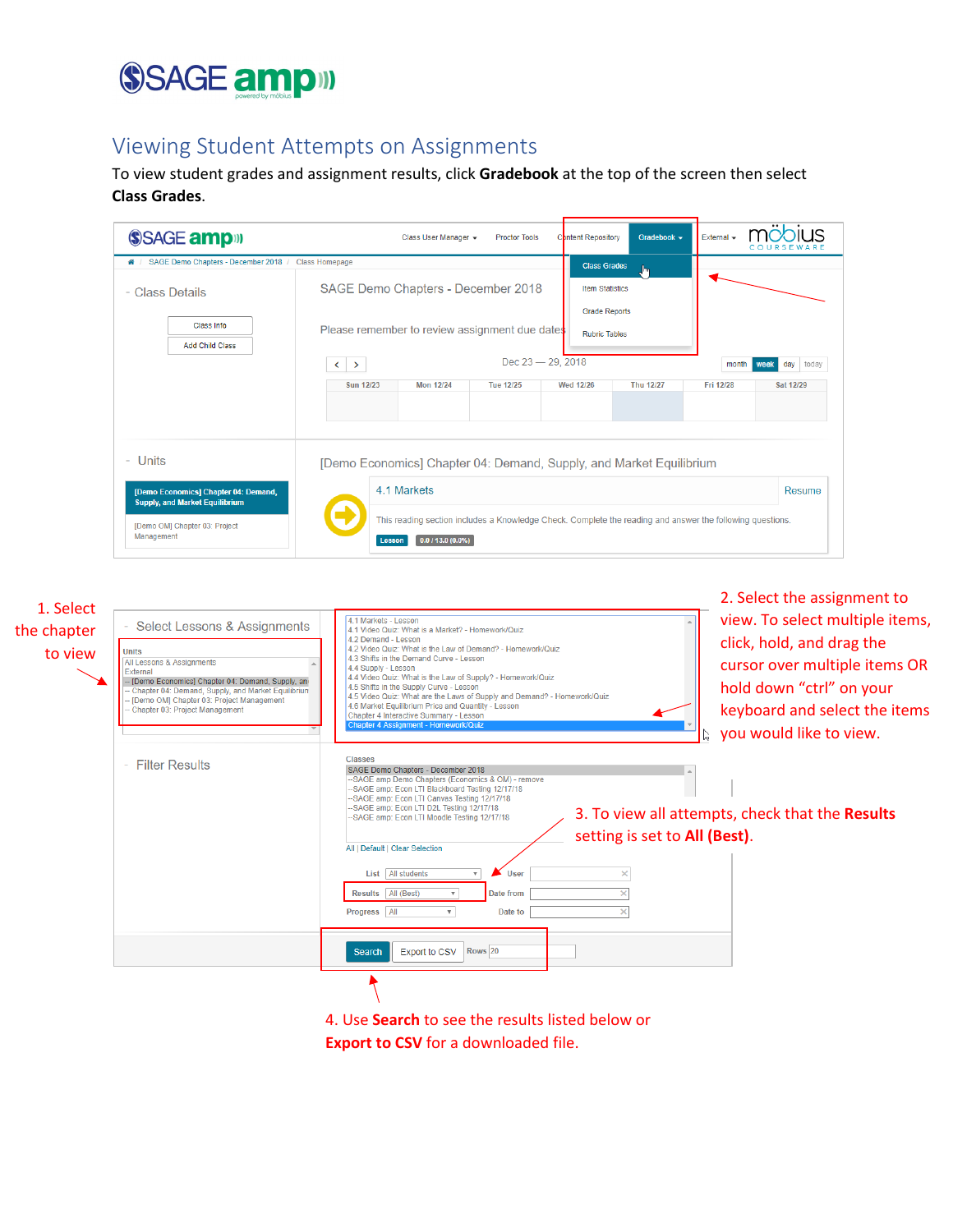## SSAGE ampill

## Viewing Student Attempts on Assignments

To view student grades and assignment results, click **Gradebook** at the top of the screen then select **Class Grades**.

| SSAGE amp <sup>11</sup>                                                       |                                                                                                | Class User Manager +                                                                                                        | <b>Proctor Tools</b>                  |  | Content Repository | Gradebook -      | External -         |                                |
|-------------------------------------------------------------------------------|------------------------------------------------------------------------------------------------|-----------------------------------------------------------------------------------------------------------------------------|---------------------------------------|--|--------------------|------------------|--------------------|--------------------------------|
| ₩ / SAGE Demo Chapters - December 2018 / Class Homepage<br>- Class Details    | <b>Class Grades</b><br>իտ<br>SAGE Demo Chapters - December 2018<br><b>Item Statistics</b>      |                                                                                                                             |                                       |  |                    |                  |                    |                                |
| Class Info<br><b>Add Child Class</b>                                          | <b>Grade Reports</b><br>Please remember to review assignment due dates<br><b>Rubric Tables</b> |                                                                                                                             |                                       |  |                    |                  |                    |                                |
|                                                                               | $\langle \ \rangle$<br>Sun 12/23                                                               | <b>Mon 12/24</b>                                                                                                            | Dec 23 - 29, 2018<br><b>Tue 12/25</b> |  | <b>Wed 12/26</b>   | <b>Thu 12/27</b> | month<br>Fri 12/28 | day today<br>week<br>Sat 12/29 |
| Units<br>$\sim$                                                               |                                                                                                | [Demo Economics] Chapter 04: Demand, Supply, and Market Equilibrium                                                         |                                       |  |                    |                  |                    |                                |
| [Demo Economics] Chapter 04: Demand,<br><b>Supply, and Market Equilibrium</b> | 4.1 Markets                                                                                    |                                                                                                                             |                                       |  |                    |                  | Resume             |                                |
| [Demo OM] Chapter 03: Project<br>Management                                   | Lesson                                                                                         | This reading section includes a Knowledge Check. Complete the reading and answer the following questions.<br>0.0113.0(0.0%) |                                       |  |                    |                  |                    |                                |

| 1. Select<br>the chapter<br>to view | <b>Select Lessons &amp; Assignments</b><br><b>Units</b><br>All Lessons & Assignments<br>External<br>- [Demo Economics] Chapter 04: Demand, Supply, an<br>Chapter 04: Demand, Supply, and Market Equilibriun<br>[Demo OM] Chapter 03: Project Management<br>Chapter 03: Project Management<br>- Filter Results | 2. Select the assignment to<br>view. To select multiple items,<br>4.1 Markets - Lesson<br>4.1 Video Quiz: What is a Market? - Homework/Quiz<br>4.2 Demand - Lesson<br>click, hold, and drag the<br>4.2 Video Quiz: What is the Law of Demand? - Homework/Quiz<br>4.3 Shifts in the Demand Curve - Lesson<br>cursor over multiple items OR<br>4.4 Supply - Lesson<br>4.4 Video Quiz: What is the Law of Supply? - Homework/Quiz<br>hold down "ctrl" on your<br>4.5 Shifts in the Supply Curve - Lesson<br>4.5 Video Quiz: What are the Laws of Supply and Demand? - Homework/Quiz<br>4.6 Market Equilibrium Price and Quantity - Lesson<br>keyboard and select the items<br>Chapter 4 Interactive Summary - Lesson<br>Chapter 4 Assignment - Homework/Quiz<br>you would like to view.<br><b>Classes</b><br>SAGE Demo Chapters - December 2018 |
|-------------------------------------|---------------------------------------------------------------------------------------------------------------------------------------------------------------------------------------------------------------------------------------------------------------------------------------------------------------|----------------------------------------------------------------------------------------------------------------------------------------------------------------------------------------------------------------------------------------------------------------------------------------------------------------------------------------------------------------------------------------------------------------------------------------------------------------------------------------------------------------------------------------------------------------------------------------------------------------------------------------------------------------------------------------------------------------------------------------------------------------------------------------------------------------------------------------------|
|                                     |                                                                                                                                                                                                                                                                                                               | --SAGE amp Demo Chapters (Economics & OM) - remove<br>-SAGE amp: Econ LTI Blackboard Testing 12/17/18<br>--SAGE amp: Econ LTI Canvas Testing 12/17/18<br>-SAGE amp: Econ LTI D2L Testing 12/17/18<br>3. To view all attempts, check that the Results<br>-SAGE amp: Econ LTI Moodle Testing 12/17/18<br>setting is set to All (Best).<br>All   Default   Clear Selection<br>List All students<br>User<br>$\overline{\mathbf{v}}$<br>Results All (Best)<br>Date from<br>Progress All<br>Date to                                                                                                                                                                                                                                                                                                                                                |
|                                     |                                                                                                                                                                                                                                                                                                               | Rows <sub>20</sub><br><b>Export to CSV</b><br><b>Search</b>                                                                                                                                                                                                                                                                                                                                                                                                                                                                                                                                                                                                                                                                                                                                                                                  |
|                                     |                                                                                                                                                                                                                                                                                                               |                                                                                                                                                                                                                                                                                                                                                                                                                                                                                                                                                                                                                                                                                                                                                                                                                                              |

4. Use **Search** to see the results listed below or **Export to CSV** for a downloaded file.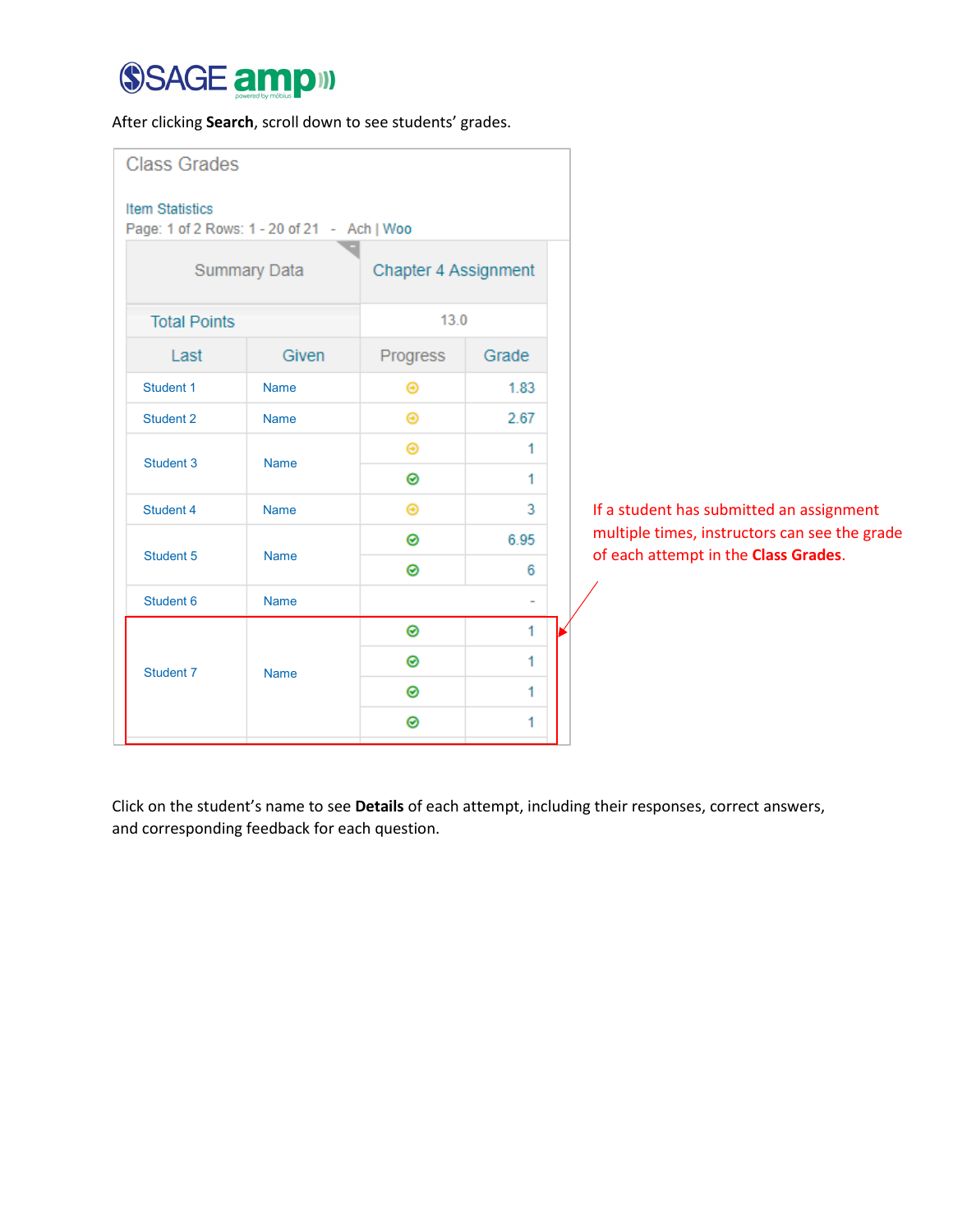## SSAGE ampill

After clicking **Search**, scroll down to see students' grades.

| <b>Class Grades</b><br><b>Item Statistics</b> | Page: 1 of 2 Rows: 1 - 20 of 21 - Ach   Woo |                              |                          |  |                                                                                       |
|-----------------------------------------------|---------------------------------------------|------------------------------|--------------------------|--|---------------------------------------------------------------------------------------|
|                                               | <b>Summary Data</b>                         |                              | Chapter 4 Assignment     |  |                                                                                       |
| <b>Total Points</b>                           |                                             | 13.0                         |                          |  |                                                                                       |
| Last                                          | Given                                       | Progress                     | Grade                    |  |                                                                                       |
| Student 1                                     | <b>Name</b>                                 | $\bm{\Theta}$                | 1.83                     |  |                                                                                       |
| Student 2                                     | <b>Name</b>                                 | Θ                            | 2.67                     |  |                                                                                       |
| Student 3                                     | <b>Name</b>                                 | $_{\scriptscriptstyle\odot}$ | 1                        |  |                                                                                       |
|                                               |                                             | ◉                            | 1.                       |  |                                                                                       |
| Student 4                                     | <b>Name</b>                                 | $\bm{\Theta}$                | 3                        |  | If a student has submitted an assignment                                              |
| Student 5                                     | <b>Name</b>                                 | ⊛                            | 6.95                     |  | multiple times, instructors can see the grade<br>of each attempt in the Class Grades. |
|                                               |                                             | ⊛                            | 6                        |  |                                                                                       |
| Student 6                                     | <b>Name</b>                                 |                              | $\overline{\phantom{a}}$ |  |                                                                                       |
|                                               |                                             | ◉                            | 1                        |  |                                                                                       |
| Student 7                                     | <b>Name</b>                                 |                              | 1                        |  |                                                                                       |
|                                               |                                             | ◉                            | 1                        |  |                                                                                       |
|                                               |                                             | ◉                            | 1                        |  |                                                                                       |

Click on the student's name to see **Details** of each attempt, including their responses, correct answers, and corresponding feedback for each question.